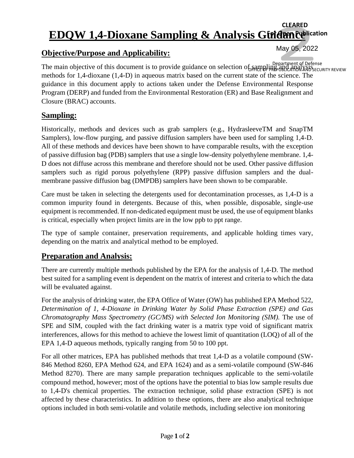## **EDQW 1,4-Dioxane Sampling & Analysis Gtriderneeblication CLEARED**

#### **Objective/Purpose and Applicability:**

Department of Defense<br>The main objective of this document is to provide guidance on selection of sampling and analysismethods for 1,4-dioxane (1,4-D) in aqueous matrix based on the current state of the science. The guidance in this document apply to actions taken under the Defense Environmental Response Program (DERP) and funded from the Environmental Restoration (ER) and Base Realignment and Closure (BRAC) accounts. OFFICE OF PREPUBLICATION AND SECURITY REVIEW

May 05, 2022

#### **Sampling:**

Historically, methods and devices such as grab samplers (e.g., HydrasleeveTM and SnapTM Samplers), low-flow purging, and passive diffusion samplers have been used for sampling 1,4-D. All of these methods and devices have been shown to have comparable results, with the exception of passive diffusion bag (PDB) samplers that use a single low-density polyethylene membrane. 1,4- D does not diffuse across this membrane and therefore should not be used. Other passive diffusion samplers such as rigid porous polyethylene (RPP) passive diffusion samplers and the dualmembrane passive diffusion bag (DMPDB) samplers have been shown to be comparable.

Care must be taken in selecting the detergents used for decontamination processes, as 1,4-D is a common impurity found in detergents. Because of this, when possible, disposable, single-use equipment is recommended. If non-dedicated equipment must be used, the use of equipment blanks is critical, especially when project limits are in the low ppb to ppt range.

The type of sample container, preservation requirements, and applicable holding times vary, depending on the matrix and analytical method to be employed.

## **Preparation and Analysis:**

There are currently multiple methods published by the EPA for the analysis of 1,4-D. The method best suited for a sampling event is dependent on the matrix of interest and criteria to which the data will be evaluated against.

For the analysis of drinking water, the EPA Office of Water (OW) has published EPA Method 522, *Determination of 1, 4-Dioxane in Drinking Water by Solid Phase Extraction (SPE) and Gas Chromatography Mass Spectrometry (GC/MS) with Selected Ion Monitoring (SIM).* The use of SPE and SIM, coupled with the fact drinking water is a matrix type void of significant matrix interferences, allows for this method to achieve the lowest limit of quantitation (LOQ) of all of the EPA 1,4-D aqueous methods, typically ranging from 50 to 100 ppt.

For all other matrices, EPA has published methods that treat 1,4-D as a volatile compound (SW-846 Method 8260, EPA Method 624, and EPA 1624) and as a semi-volatile compound (SW-846 Method 8270). There are many sample preparation techniques applicable to the semi-volatile compound method, however; most of the options have the potential to bias low sample results due to 1,4-D's chemical properties. The extraction technique, solid phase extraction (SPE) is not affected by these characteristics. In addition to these options, there are also analytical technique options included in both semi-volatile and volatile methods, including selective ion monitoring